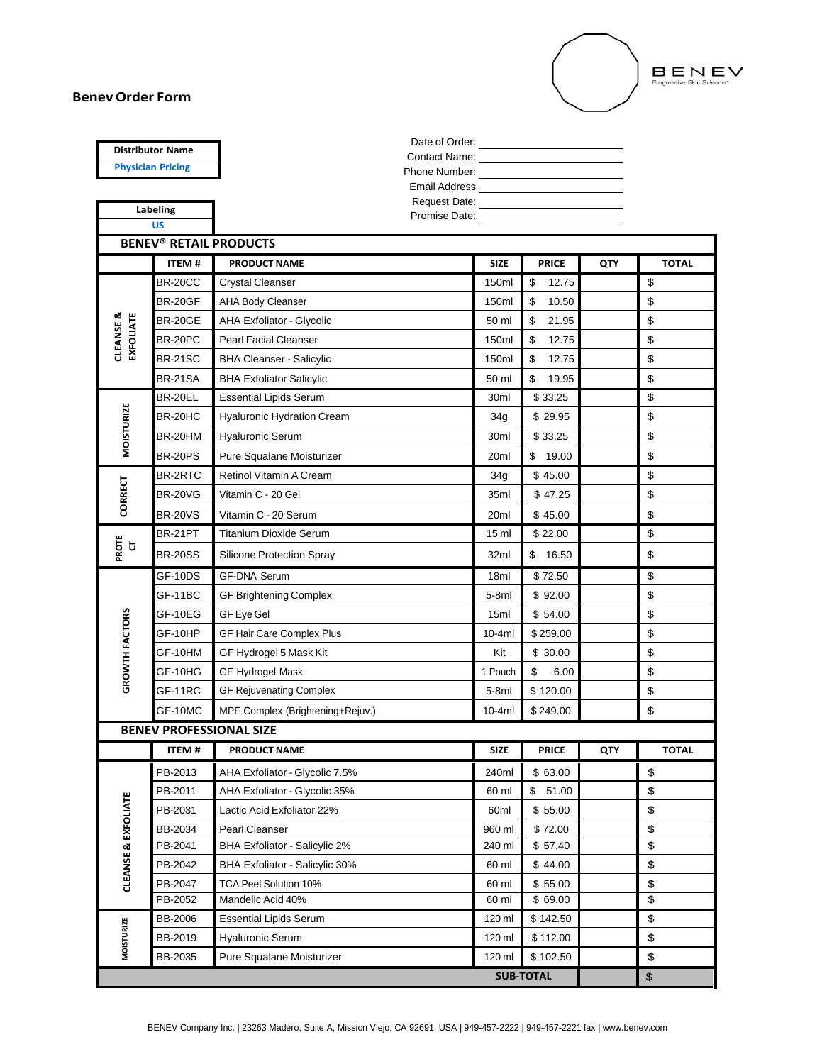## **BenevOrder Form**



| <b>Distributor Name</b>                             |                                |                                            |                 |                              |            |              |  |  |
|-----------------------------------------------------|--------------------------------|--------------------------------------------|-----------------|------------------------------|------------|--------------|--|--|
| <b>Physician Pricing</b>                            |                                | Contact Name: <u>________________</u>      |                 |                              |            |              |  |  |
|                                                     |                                |                                            |                 |                              |            |              |  |  |
| Labeling                                            |                                |                                            |                 |                              |            |              |  |  |
|                                                     | <b>US</b>                      | Promise Date: <u>_____________________</u> |                 |                              |            |              |  |  |
|                                                     |                                | <b>BENEV<sup>®</sup> RETAIL PRODUCTS</b>   |                 |                              |            |              |  |  |
|                                                     | ITEM#                          | <b>PRODUCT NAME</b>                        | <b>SIZE</b>     | <b>PRICE</b>                 | <b>QTY</b> | <b>TOTAL</b> |  |  |
| EXFOLIATE<br><b>CLEANSE &amp;</b>                   | <b>BR-20CC</b>                 | <b>Crystal Cleanser</b>                    | 150ml           | \$<br>12.75                  |            | \$           |  |  |
|                                                     | <b>BR-20GF</b>                 | <b>AHA Body Cleanser</b>                   | 150ml           | \$<br>10.50                  |            | \$           |  |  |
|                                                     | <b>BR-20GE</b>                 | <b>AHA Exfoliator - Glycolic</b>           | 50 ml           | \$<br>21.95                  |            | \$           |  |  |
|                                                     | BR-20PC                        | <b>Pearl Facial Cleanser</b>               | 150ml           | \$<br>12.75                  |            | \$           |  |  |
|                                                     | <b>BR-21SC</b>                 | <b>BHA Cleanser - Salicylic</b>            | 150ml           | \$<br>12.75                  |            | \$           |  |  |
|                                                     | <b>BR-21SA</b>                 | <b>BHA Exfoliator Salicylic</b>            | 50 ml           | \$<br>19.95                  |            | \$           |  |  |
|                                                     | BR-20EL                        | <b>Essential Lipids Serum</b>              | 30ml            | \$33.25                      |            | \$           |  |  |
| <b>MOISTURIZE</b>                                   | BR-20HC                        | <b>Hyaluronic Hydration Cream</b>          | 34g             | \$29.95                      |            | \$           |  |  |
|                                                     | BR-20HM                        | <b>Hyaluronic Serum</b>                    | 30ml            | \$33.25                      |            | \$           |  |  |
|                                                     | <b>BR-20PS</b>                 | Pure Squalane Moisturizer                  | 20ml            | \$<br>19.00                  |            | \$           |  |  |
|                                                     | BR-2RTC                        | Retinol Vitamin A Cream                    | 34g             | \$45.00                      |            | \$           |  |  |
| <b>CORRECT</b>                                      | <b>BR-20VG</b>                 | Vitamin C - 20 Gel                         | 35ml<br>\$47.25 | \$                           |            |              |  |  |
|                                                     | <b>BR-20VS</b>                 | Vitamin C - 20 Serum                       | 20ml            | \$45.00                      |            | \$           |  |  |
| PROTE<br>$\mathbf{C}$                               | BR-21PT                        | <b>Titanium Dioxide Serum</b>              | 15 <sub>m</sub> | \$22.00                      |            | \$           |  |  |
|                                                     | <b>BR-20SS</b>                 | <b>Silicone Protection Spray</b>           | 32ml            | \$16.50                      |            | \$           |  |  |
|                                                     | GF-10DS                        | <b>GF-DNA Serum</b>                        | 18ml            | \$72.50                      |            | \$           |  |  |
|                                                     | GF-11BC                        | <b>GF Brightening Complex</b>              | $5-8ml$         | \$92.00                      |            | \$           |  |  |
|                                                     | GF-10EG                        | <b>GF Eye Gel</b>                          | 15ml            | \$54.00                      |            | \$           |  |  |
|                                                     | GF-10HP                        | <b>GF Hair Care Complex Plus</b>           | $10-4ml$        | \$259.00                     |            | \$           |  |  |
|                                                     | GF-10HM                        | GF Hydrogel 5 Mask Kit                     | Kit             | \$30.00                      |            | \$           |  |  |
| GROWTH FACTORS                                      | GF-10HG                        | <b>GF Hydrogel Mask</b>                    | 1 Pouch         | \$<br>6.00                   |            | \$           |  |  |
|                                                     | GF-11RC                        | <b>GF Rejuvenating Complex</b>             | $5-8ml$         | \$120.00                     |            | \$           |  |  |
|                                                     | GF-10MC                        | MPF Complex (Brightening+Rejuv.)           | $10-4ml$        | \$249.00                     |            | \$           |  |  |
|                                                     | <b>BENEV PROFESSIONAL SIZE</b> |                                            |                 |                              |            |              |  |  |
|                                                     | <b>ITEM#</b>                   | <b>PRODUCT NAME</b>                        | <b>SIZE</b>     | <b>PRICE</b>                 | <b>QTY</b> | <b>TOTAL</b> |  |  |
|                                                     | PB-2013                        | AHA Exfoliator - Glycolic 7.5%             | 240ml           | \$63.00                      |            | \$           |  |  |
|                                                     | PB-2011                        | AHA Exfoliator - Glycolic 35%              | 60 ml           | \$51.00<br>\$                |            |              |  |  |
|                                                     | PB-2031                        | Lactic Acid Exfoliator 22%                 | \$55.00<br>60ml | \$                           |            |              |  |  |
|                                                     | BB-2034                        | Pearl Cleanser                             | 960 ml          | \$72.00                      |            | \$           |  |  |
| <b>CLEANSE &amp; EXFOLIATE</b><br><b>MOISTURIZE</b> | PB-2041                        | <b>BHA Exfoliator - Salicylic 2%</b>       | 240 ml          | \$57.40                      |            | \$           |  |  |
|                                                     | PB-2042                        | BHA Exfoliator - Salicylic 30%             | 60 ml           | \$44.00                      |            | \$           |  |  |
|                                                     | PB-2047                        | TCA Peel Solution 10%                      | 60 ml           | \$55.00                      |            | \$           |  |  |
|                                                     | PB-2052                        | Mandelic Acid 40%                          | 60 ml           | \$ 69.00                     |            | \$           |  |  |
|                                                     | <b>BB-2006</b>                 | <b>Essential Lipids Serum</b>              | 120 ml          | \$142.50                     |            | \$           |  |  |
|                                                     | BB-2019                        | <b>Hyaluronic Serum</b>                    | 120 ml          | \$112.00                     |            | \$           |  |  |
|                                                     | BB-2035                        | Pure Squalane Moisturizer                  | 120 ml          | \$102.50<br><b>SUB-TOTAL</b> |            | \$           |  |  |
|                                                     |                                |                                            |                 | $\boldsymbol{\$}$            |            |              |  |  |